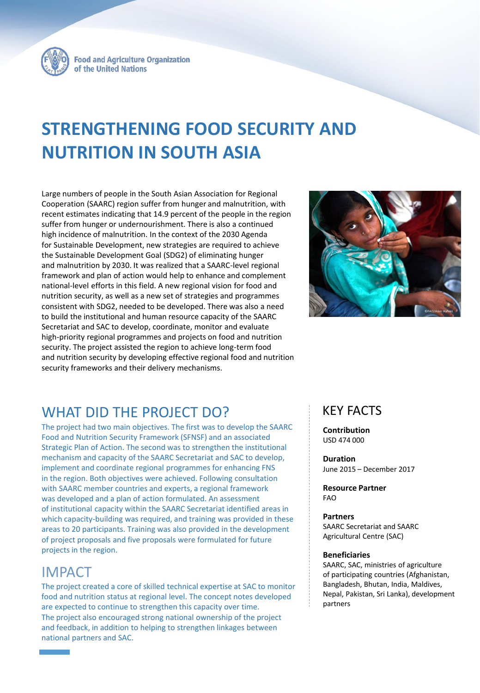

**Food and Agriculture Organization** of the United Nations

# **STRENGTHENING FOOD SECURITY AND NUTRITION IN SOUTH ASIA**

Large numbers of people in the South Asian Association for Regional Cooperation (SAARC) region suffer from hunger and malnutrition, with recent estimates indicating that 14.9 percent of the people in the region suffer from hunger or undernourishment. There is also a continued high incidence of malnutrition. In the context of the 2030 Agenda for Sustainable Development, new strategies are required to achieve the Sustainable Development Goal (SDG2) of eliminating hunger and malnutrition by 2030. It was realized that a SAARC-level regional framework and plan of action would help to enhance and complement national-level efforts in this field. A new regional vision for food and nutrition security, as well as a new set of strategies and programmes consistent with SDG2, needed to be developed. There was also a need to build the institutional and human resource capacity of the SAARC Secretariat and SAC to develop, coordinate, monitor and evaluate high-priority regional programmes and projects on food and nutrition security. The project assisted the region to achieve long-term food and nutrition security by developing effective regional food and nutrition security frameworks and their delivery mechanisms.



### WHAT DID THE PROJECT DO?

The project had two main objectives. The first was to develop the SAARC Food and Nutrition Security Framework (SFNSF) and an associated Strategic Plan of Action. The second was to strengthen the institutional mechanism and capacity of the SAARC Secretariat and SAC to develop, implement and coordinate regional programmes for enhancing FNS in the region. Both objectives were achieved. Following consultation with SAARC member countries and experts, a regional framework was developed and a plan of action formulated. An assessment of institutional capacity within the SAARC Secretariat identified areas in which capacity-building was required, and training was provided in these areas to 20 participants. Training was also provided in the development of project proposals and five proposals were formulated for future projects in the region.

### IMPACT

The project created a core of skilled technical expertise at SAC to monitor food and nutrition status at regional level. The concept notes developed are expected to continue to strengthen this capacity over time. The project also encouraged strong national ownership of the project and feedback, in addition to helping to strengthen linkages between national partners and SAC.

### KEY FACTS

**Contribution** USD 474 000

**Duration** June 2015 – December 2017

**Resource Partner** FAO

**Partners** SAARC Secretariat and SAARC Agricultural Centre (SAC)

#### **Beneficiaries**

SAARC, SAC, ministries of agriculture of participating countries (Afghanistan, Bangladesh, Bhutan, India, Maldives, Nepal, Pakistan, Sri Lanka), development partners